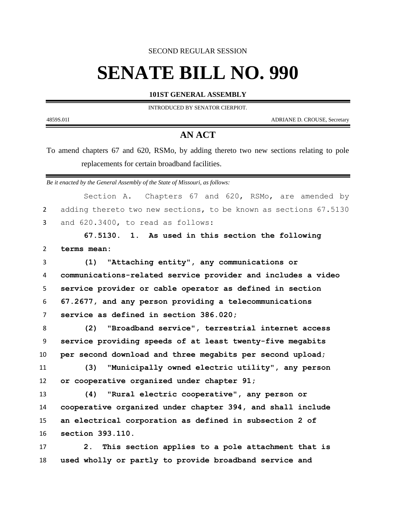SECOND REGULAR SESSION

## **SENATE BILL NO. 990**

**101ST GENERAL ASSEMBLY**

INTRODUCED BY SENATOR CIERPIOT.

4859S.01I ADRIANE D. CROUSE, Secretary

## **AN ACT**

To amend chapters 67 and 620, RSMo, by adding thereto two new sections relating to pole replacements for certain broadband facilities.

*Be it enacted by the General Assembly of the State of Missouri, as follows:*

| adding thereto two new sections, to be known as sections 67.5130<br>$\overline{2}$<br>3<br>and 620.3400, to read as follows:<br>67.5130. 1. As used in this section the following<br>$\overline{2}$<br>terms mean:<br>"Attaching entity", any communications or<br>3<br>(1)<br>communications-related service provider and includes a video<br>4 |  |
|--------------------------------------------------------------------------------------------------------------------------------------------------------------------------------------------------------------------------------------------------------------------------------------------------------------------------------------------------|--|
|                                                                                                                                                                                                                                                                                                                                                  |  |
|                                                                                                                                                                                                                                                                                                                                                  |  |
|                                                                                                                                                                                                                                                                                                                                                  |  |
|                                                                                                                                                                                                                                                                                                                                                  |  |
|                                                                                                                                                                                                                                                                                                                                                  |  |
|                                                                                                                                                                                                                                                                                                                                                  |  |
| service provider or cable operator as defined in section<br>5                                                                                                                                                                                                                                                                                    |  |
| 67.2677, and any person providing a telecommunications<br>6                                                                                                                                                                                                                                                                                      |  |
| service as defined in section 386.020;<br>7                                                                                                                                                                                                                                                                                                      |  |
| (2)<br>"Broadband service", terrestrial internet access<br>8                                                                                                                                                                                                                                                                                     |  |
| service providing speeds of at least twenty-five megabits<br>9                                                                                                                                                                                                                                                                                   |  |
| per second download and three megabits per second upload;<br>10                                                                                                                                                                                                                                                                                  |  |
| "Municipally owned electric utility", any person<br>11<br>(3)                                                                                                                                                                                                                                                                                    |  |
| or cooperative organized under chapter 91;<br>12                                                                                                                                                                                                                                                                                                 |  |
| 13<br>(4)<br>"Rural electric cooperative", any person or                                                                                                                                                                                                                                                                                         |  |
| cooperative organized under chapter 394, and shall include<br>14                                                                                                                                                                                                                                                                                 |  |
| an electrical corporation as defined in subsection 2 of<br>15                                                                                                                                                                                                                                                                                    |  |
| section 393.110.<br>16                                                                                                                                                                                                                                                                                                                           |  |
| This section applies to a pole attachment that is<br>17<br>2.                                                                                                                                                                                                                                                                                    |  |
| used wholly or partly to provide broadband service and<br>18                                                                                                                                                                                                                                                                                     |  |
|                                                                                                                                                                                                                                                                                                                                                  |  |
|                                                                                                                                                                                                                                                                                                                                                  |  |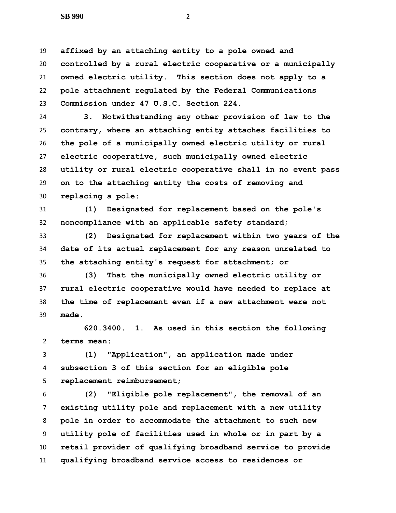**SB 990** 2

 **affixed by an attaching entity to a pole owned and controlled by a rural electric cooperative or a municipally owned electric utility. This section does not apply to a pole attachment regulated by the Federal Communications Commission under 47 U.S.C. Section 224.**

 **3. Notwithstanding any other provision of law to the contrary, where an attaching entity attaches facilities to the pole of a municipally owned electric utility or rural electric cooperative, such municipally owned electric utility or rural electric cooperative shall in no event pass on to the attaching entity the costs of removing and replacing a pole:**

 **(1) Designated for replacement based on the pole's noncompliance with an applicable safety standard;**

 **(2) Designated for replacement within two years of the date of its actual replacement for any reason unrelated to the attaching entity's request for attachment; or**

 **(3) That the municipally owned electric utility or rural electric cooperative would have needed to replace at the time of replacement even if a new attachment were not made.**

 **620.3400. 1. As used in this section the following terms mean:**

 **(1) "Application", an application made under subsection 3 of this section for an eligible pole replacement reimbursement;**

 **(2) "Eligible pole replacement", the removal of an existing utility pole and replacement with a new utility pole in order to accommodate the attachment to such new utility pole of facilities used in whole or in part by a retail provider of qualifying broadband service to provide qualifying broadband service access to residences or**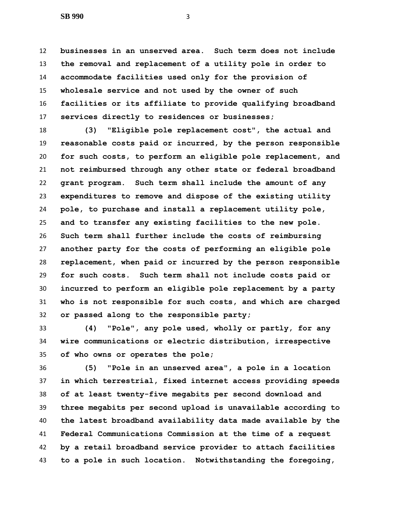**SB 990** 3

 **businesses in an unserved area. Such term does not include the removal and replacement of a utility pole in order to accommodate facilities used only for the provision of wholesale service and not used by the owner of such facilities or its affiliate to provide qualifying broadband services directly to residences or businesses;**

 **(3) "Eligible pole replacement cost", the actual and reasonable costs paid or incurred, by the person responsible for such costs, to perform an eligible pole replacement, and not reimbursed through any other state or federal broadband grant program. Such term shall include the amount of any expenditures to remove and dispose of the existing utility pole, to purchase and install a replacement utility pole, and to transfer any existing facilities to the new pole. Such term shall further include the costs of reimbursing another party for the costs of performing an eligible pole replacement, when paid or incurred by the person responsible for such costs. Such term shall not include costs paid or incurred to perform an eligible pole replacement by a party who is not responsible for such costs, and which are charged or passed along to the responsible party;**

 **(4) "Pole", any pole used, wholly or partly, for any wire communications or electric distribution, irrespective of who owns or operates the pole;**

 **(5) "Pole in an unserved area", a pole in a location in which terrestrial, fixed internet access providing speeds of at least twenty-five megabits per second download and three megabits per second upload is unavailable according to the latest broadband availability data made available by the Federal Communications Commission at the time of a request by a retail broadband service provider to attach facilities to a pole in such location. Notwithstanding the foregoing,**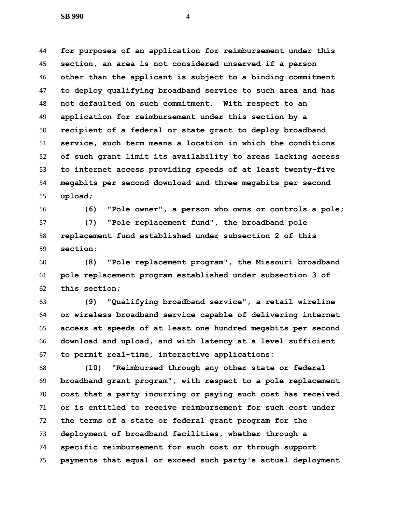**for purposes of an application for reimbursement under this section, an area is not considered unserved if a person other than the applicant is subject to a binding commitment to deploy qualifying broadband service to such area and has not defaulted on such commitment. With respect to an application for reimbursement under this section by a recipient of a federal or state grant to deploy broadband service, such term means a location in which the conditions of such grant limit its availability to areas lacking access to internet access providing speeds of at least twenty-five megabits per second download and three megabits per second upload;**

 **(6) "Pole owner", a person who owns or controls a pole; (7) "Pole replacement fund", the broadband pole replacement fund established under subsection 2 of this section;**

 **(8) "Pole replacement program", the Missouri broadband pole replacement program established under subsection 3 of this section;**

 **(9) "Qualifying broadband service", a retail wireline or wireless broadband service capable of delivering internet access at speeds of at least one hundred megabits per second download and upload, and with latency at a level sufficient to permit real-time, interactive applications;**

 **(10) "Reimbursed through any other state or federal broadband grant program", with respect to a pole replacement cost that a party incurring or paying such cost has received or is entitled to receive reimbursement for such cost under the terms of a state or federal grant program for the deployment of broadband facilities, whether through a specific reimbursement for such cost or through support payments that equal or exceed such party's actual deployment**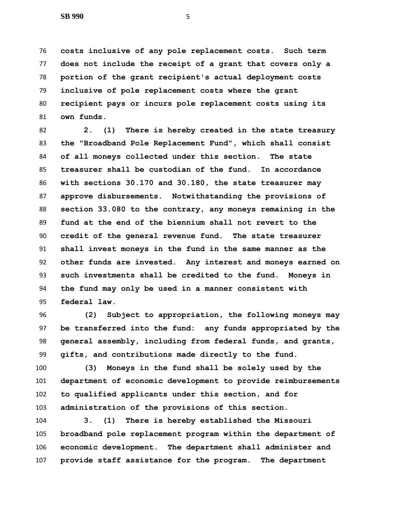**costs inclusive of any pole replacement costs. Such term does not include the receipt of a grant that covers only a portion of the grant recipient's actual deployment costs inclusive of pole replacement costs where the grant recipient pays or incurs pole replacement costs using its own funds.**

 **2. (1) There is hereby created in the state treasury the "Broadband Pole Replacement Fund", which shall consist of all moneys collected under this section. The state treasurer shall be custodian of the fund. In accordance with sections 30.170 and 30.180, the state treasurer may approve disbursements. Notwithstanding the provisions of section 33.080 to the contrary, any moneys remaining in the fund at the end of the biennium shall not revert to the credit of the general revenue fund. The state treasurer shall invest moneys in the fund in the same manner as the other funds are invested. Any interest and moneys earned on such investments shall be credited to the fund. Moneys in the fund may only be used in a manner consistent with federal law.**

 **(2) Subject to appropriation, the following moneys may be transferred into the fund: any funds appropriated by the general assembly, including from federal funds, and grants, gifts, and contributions made directly to the fund.**

 **(3) Moneys in the fund shall be solely used by the department of economic development to provide reimbursements to qualified applicants under this section, and for administration of the provisions of this section.**

 **3. (1) There is hereby established the Missouri broadband pole replacement program within the department of economic development. The department shall administer and provide staff assistance for the program. The department**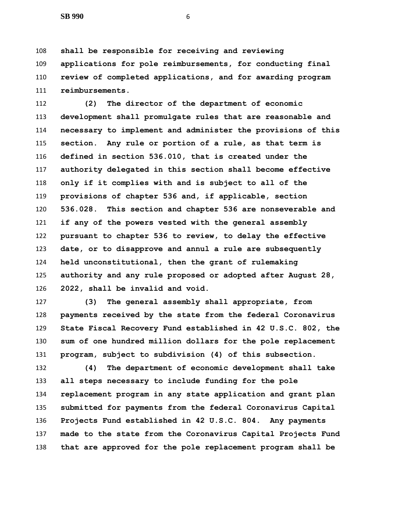**shall be responsible for receiving and reviewing applications for pole reimbursements, for conducting final review of completed applications, and for awarding program reimbursements.**

 **(2) The director of the department of economic development shall promulgate rules that are reasonable and necessary to implement and administer the provisions of this section. Any rule or portion of a rule, as that term is defined in section 536.010, that is created under the authority delegated in this section shall become effective only if it complies with and is subject to all of the provisions of chapter 536 and, if applicable, section 536.028. This section and chapter 536 are nonseverable and if any of the powers vested with the general assembly pursuant to chapter 536 to review, to delay the effective date, or to disapprove and annul a rule are subsequently held unconstitutional, then the grant of rulemaking authority and any rule proposed or adopted after August 28, 2022, shall be invalid and void.**

 **(3) The general assembly shall appropriate, from payments received by the state from the federal Coronavirus State Fiscal Recovery Fund established in 42 U.S.C. 802, the sum of one hundred million dollars for the pole replacement program, subject to subdivision (4) of this subsection.**

 **(4) The department of economic development shall take all steps necessary to include funding for the pole replacement program in any state application and grant plan submitted for payments from the federal Coronavirus Capital Projects Fund established in 42 U.S.C. 804. Any payments made to the state from the Coronavirus Capital Projects Fund that are approved for the pole replacement program shall be**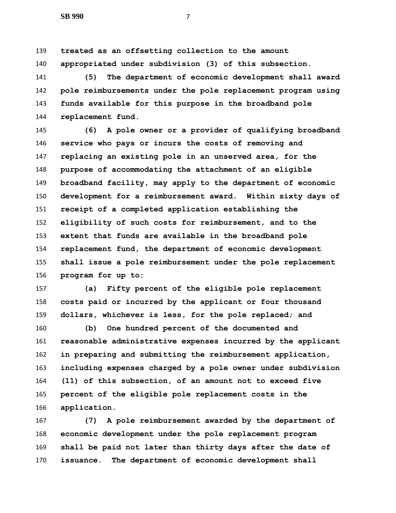**treated as an offsetting collection to the amount appropriated under subdivision (3) of this subsection.**

 **(5) The department of economic development shall award pole reimbursements under the pole replacement program using funds available for this purpose in the broadband pole replacement fund.**

 **(6) A pole owner or a provider of qualifying broadband service who pays or incurs the costs of removing and replacing an existing pole in an unserved area, for the purpose of accommodating the attachment of an eligible broadband facility, may apply to the department of economic development for a reimbursement award. Within sixty days of receipt of a completed application establishing the eligibility of such costs for reimbursement, and to the extent that funds are available in the broadband pole replacement fund, the department of economic development shall issue a pole reimbursement under the pole replacement program for up to:**

 **(a) Fifty percent of the eligible pole replacement costs paid or incurred by the applicant or four thousand dollars, whichever is less, for the pole replaced; and**

 **(b) One hundred percent of the documented and reasonable administrative expenses incurred by the applicant in preparing and submitting the reimbursement application, including expenses charged by a pole owner under subdivision (11) of this subsection, of an amount not to exceed five percent of the eligible pole replacement costs in the application.**

 **(7) A pole reimbursement awarded by the department of economic development under the pole replacement program shall be paid not later than thirty days after the date of issuance. The department of economic development shall**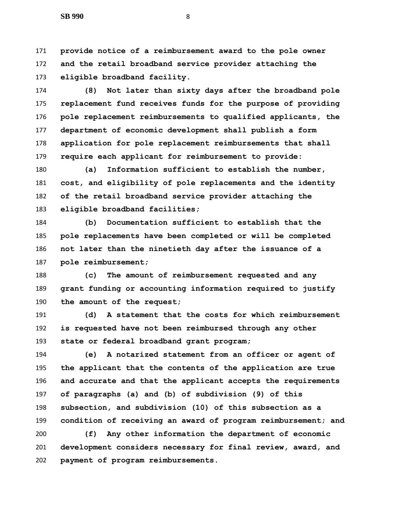**provide notice of a reimbursement award to the pole owner and the retail broadband service provider attaching the eligible broadband facility.**

 **(8) Not later than sixty days after the broadband pole replacement fund receives funds for the purpose of providing pole replacement reimbursements to qualified applicants, the department of economic development shall publish a form application for pole replacement reimbursements that shall require each applicant for reimbursement to provide:**

 **(a) Information sufficient to establish the number, cost, and eligibility of pole replacements and the identity of the retail broadband service provider attaching the eligible broadband facilities;**

 **(b) Documentation sufficient to establish that the pole replacements have been completed or will be completed not later than the ninetieth day after the issuance of a pole reimbursement;**

 **(c) The amount of reimbursement requested and any grant funding or accounting information required to justify the amount of the request;**

 **(d) A statement that the costs for which reimbursement is requested have not been reimbursed through any other state or federal broadband grant program;**

 **(e) A notarized statement from an officer or agent of the applicant that the contents of the application are true and accurate and that the applicant accepts the requirements of paragraphs (a) and (b) of subdivision (9) of this subsection, and subdivision (10) of this subsection as a condition of receiving an award of program reimbursement; and**

 **(f) Any other information the department of economic development considers necessary for final review, award, and payment of program reimbursements.**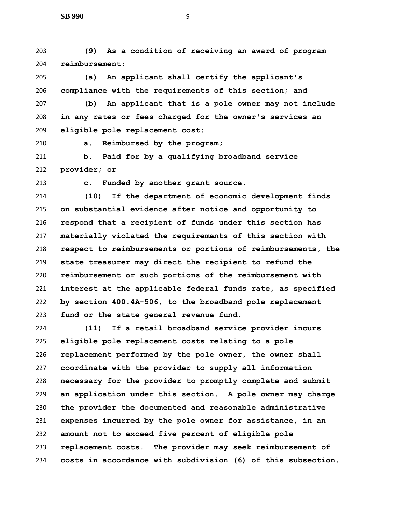**(9) As a condition of receiving an award of program reimbursement:**

 **(a) An applicant shall certify the applicant's compliance with the requirements of this section; and**

 **(b) An applicant that is a pole owner may not include in any rates or fees charged for the owner's services an eligible pole replacement cost:**

**a. Reimbursed by the program;**

 **b. Paid for by a qualifying broadband service provider; or**

**c. Funded by another grant source.**

 **(10) If the department of economic development finds on substantial evidence after notice and opportunity to respond that a recipient of funds under this section has materially violated the requirements of this section with respect to reimbursements or portions of reimbursements, the state treasurer may direct the recipient to refund the reimbursement or such portions of the reimbursement with interest at the applicable federal funds rate, as specified by section 400.4A-506, to the broadband pole replacement fund or the state general revenue fund.**

 **(11) If a retail broadband service provider incurs eligible pole replacement costs relating to a pole replacement performed by the pole owner, the owner shall coordinate with the provider to supply all information necessary for the provider to promptly complete and submit an application under this section. A pole owner may charge the provider the documented and reasonable administrative expenses incurred by the pole owner for assistance, in an amount not to exceed five percent of eligible pole replacement costs. The provider may seek reimbursement of costs in accordance with subdivision (6) of this subsection.**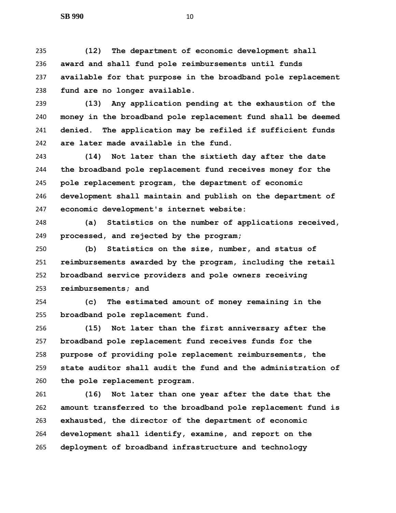**(12) The department of economic development shall award and shall fund pole reimbursements until funds available for that purpose in the broadband pole replacement fund are no longer available.**

 **(13) Any application pending at the exhaustion of the money in the broadband pole replacement fund shall be deemed denied. The application may be refiled if sufficient funds are later made available in the fund.**

 **(14) Not later than the sixtieth day after the date the broadband pole replacement fund receives money for the pole replacement program, the department of economic development shall maintain and publish on the department of economic development's internet website:**

 **(a) Statistics on the number of applications received, processed, and rejected by the program;**

 **(b) Statistics on the size, number, and status of reimbursements awarded by the program, including the retail broadband service providers and pole owners receiving reimbursements; and**

 **(c) The estimated amount of money remaining in the broadband pole replacement fund.**

 **(15) Not later than the first anniversary after the broadband pole replacement fund receives funds for the purpose of providing pole replacement reimbursements, the state auditor shall audit the fund and the administration of the pole replacement program.**

 **(16) Not later than one year after the date that the amount transferred to the broadband pole replacement fund is exhausted, the director of the department of economic development shall identify, examine, and report on the deployment of broadband infrastructure and technology**